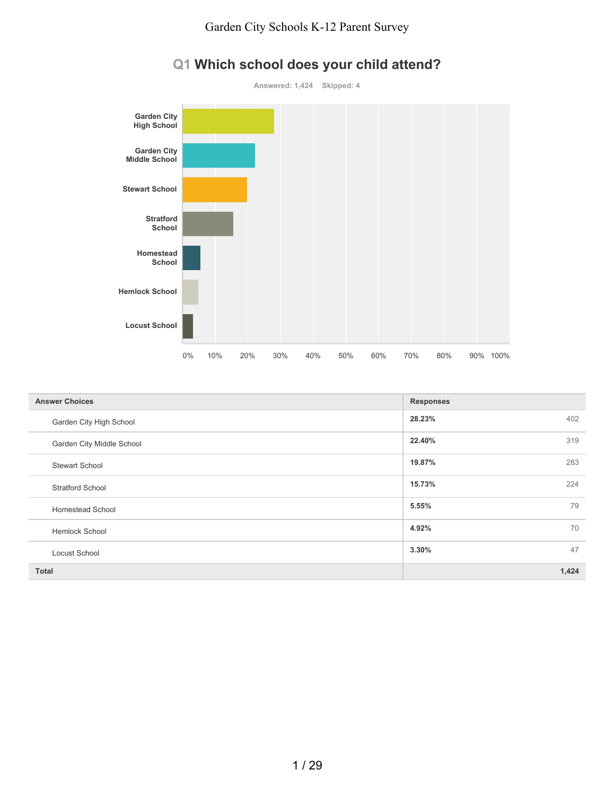

# **Q1 Which school does your child attend?**

| <b>Answer Choices</b>     | <b>Responses</b> |
|---------------------------|------------------|
| Garden City High School   | 402<br>28.23%    |
| Garden City Middle School | 22.40%<br>319    |
| <b>Stewart School</b>     | 19.87%<br>283    |
| <b>Stratford School</b>   | 15.73%<br>224    |
| <b>Homestead School</b>   | 79<br>5.55%      |
| <b>Hemlock School</b>     | 70<br>4.92%      |
| Locust School             | 47<br>3.30%      |
| <b>Total</b>              | 1,424            |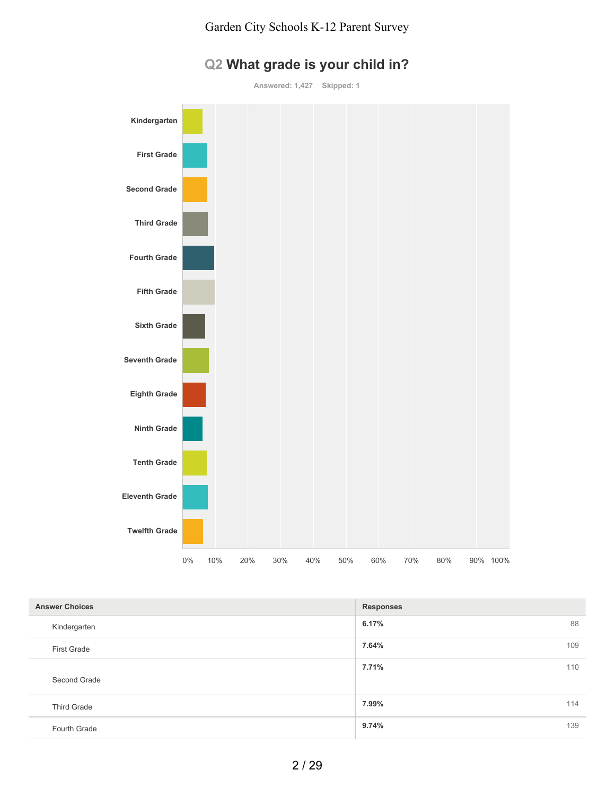

# **Q2 What grade is your child in?**

**Answered: 1,427 Skipped: 1**

| <b>Answer Choices</b> | <b>Responses</b> |
|-----------------------|------------------|
| Kindergarten          | 6.17%<br>88      |
| <b>First Grade</b>    | 7.64%<br>109     |
| Second Grade          | 7.71%<br>110     |
| <b>Third Grade</b>    | 7.99%<br>114     |
| Fourth Grade          | 9.74%<br>139     |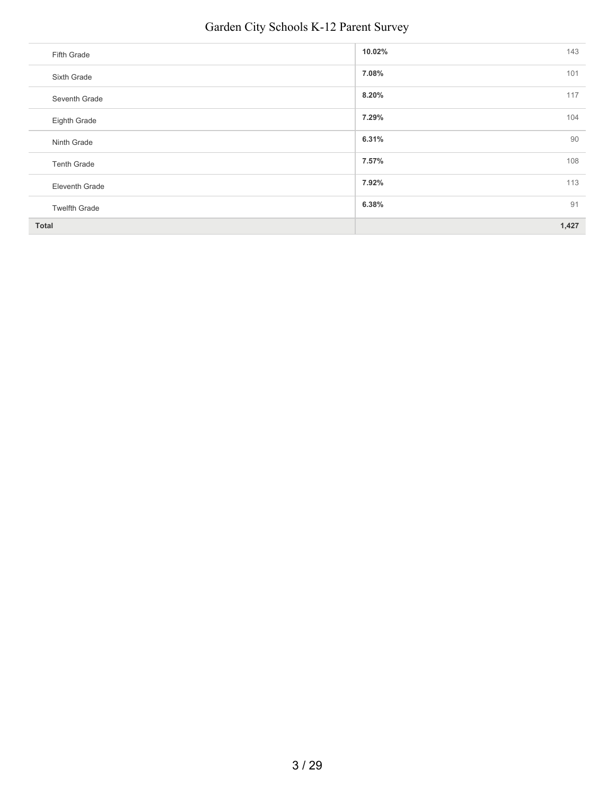# Garden City Schools K-12 Parent Survey

| Fifth Grade           | 10.02%<br>143 |
|-----------------------|---------------|
| Sixth Grade           | 7.08%<br>101  |
| Seventh Grade         | 117<br>8.20%  |
| Eighth Grade          | 7.29%<br>104  |
| Ninth Grade           | 90<br>6.31%   |
| <b>Tenth Grade</b>    | 7.57%<br>108  |
| <b>Eleventh Grade</b> | 113<br>7.92%  |
| <b>Twelfth Grade</b>  | 91<br>6.38%   |
| <b>Total</b>          | 1,427         |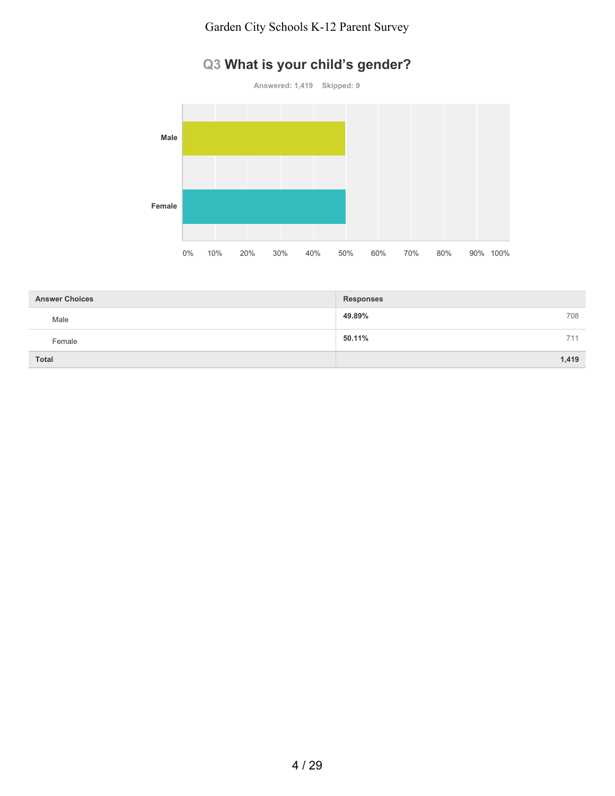### Garden City Schools K-12 Parent Survey

# **Q3 What is your child's gender?**

**Answered: 1,419 Skipped: 9**



| <b>Answer Choices</b> | <b>Responses</b> |
|-----------------------|------------------|
| Male                  | 49.89%<br>708    |
| Female                | 50.11%<br>711    |
| <b>Total</b>          | 1,419            |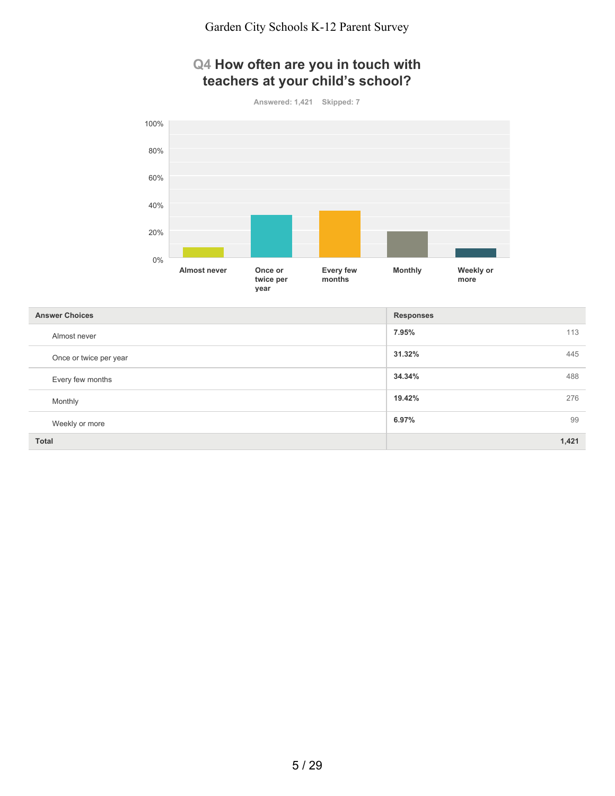## **Q4 How often are you in touch with teachers at your child's school?**

**Answered: 1,421 Skipped: 7**



| <b>Answer Choices</b>  | <b>Responses</b> |
|------------------------|------------------|
| Almost never           | 7.95%<br>113     |
| Once or twice per year | 31.32%<br>445    |
| Every few months       | 34.34%<br>488    |
| Monthly                | 19.42%<br>276    |
| Weekly or more         | 6.97%<br>99      |
| <b>Total</b>           | 1,421            |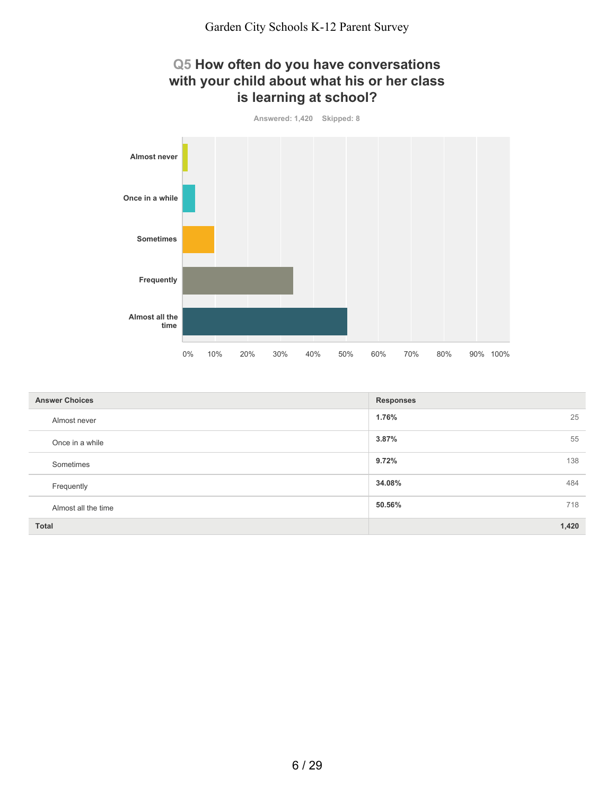## **Q5 How often do you have conversations with your child about what his or her class is learning at school?**





| <b>Answer Choices</b> | <b>Responses</b> |
|-----------------------|------------------|
| Almost never          | 25<br>1.76%      |
| Once in a while       | 55<br>3.87%      |
| Sometimes             | 138<br>9.72%     |
| Frequently            | 34.08%<br>484    |
| Almost all the time   | 718<br>50.56%    |
| <b>Total</b>          | 1,420            |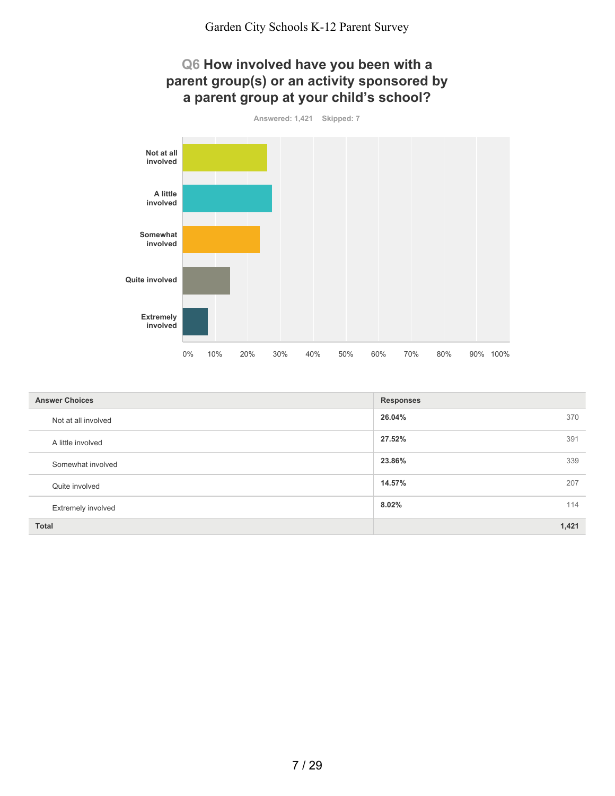### **Q6 How involved have you been with a parent group(s) or an activity sponsored by a parent group at your child's school?**

**Answered: 1,421 Skipped: 7**



| <b>Answer Choices</b> | <b>Responses</b> |
|-----------------------|------------------|
| Not at all involved   | 26.04%<br>370    |
| A little involved     | 27.52%<br>391    |
| Somewhat involved     | 23.86%<br>339    |
| Quite involved        | 14.57%<br>207    |
| Extremely involved    | 8.02%<br>114     |
| <b>Total</b>          | 1,421            |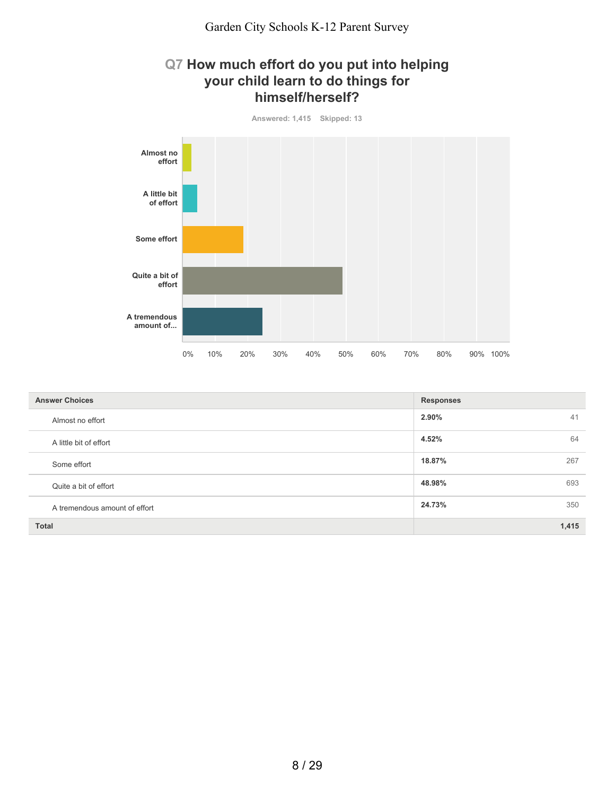### **Q7 How much effort do you put into helping your child learn to do things for himself/herself?**



| <b>Answer Choices</b>         | <b>Responses</b> |
|-------------------------------|------------------|
| Almost no effort              | 2.90%<br>41      |
| A little bit of effort        | 64<br>4.52%      |
| Some effort                   | 18.87%<br>267    |
| Quite a bit of effort         | 48.98%<br>693    |
| A tremendous amount of effort | 24.73%<br>350    |
| <b>Total</b>                  | 1,415            |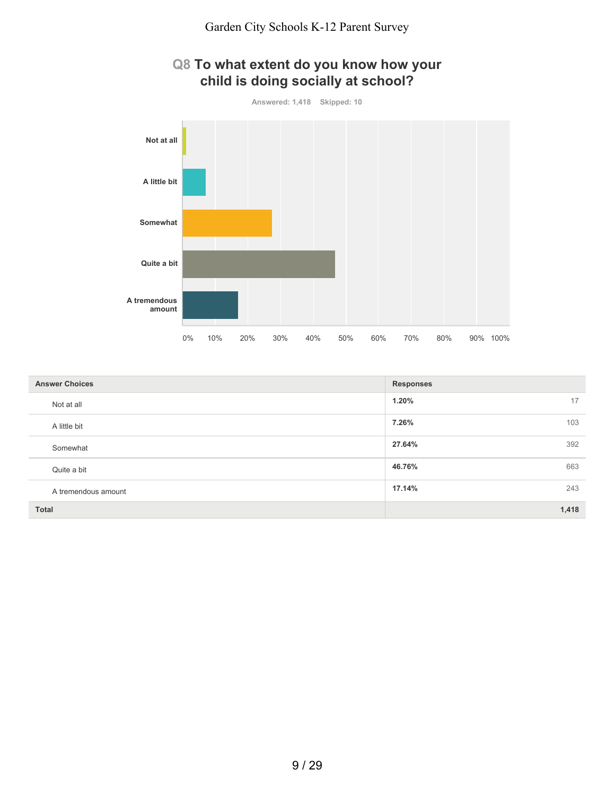

| <b>Answer Choices</b> | <b>Responses</b> |
|-----------------------|------------------|
| Not at all            | 1.20%<br>17      |
| A little bit          | 7.26%<br>103     |
| Somewhat              | 392<br>27.64%    |
| Quite a bit           | 663<br>46.76%    |
| A tremendous amount   | 17.14%<br>243    |
| <b>Total</b>          | 1,418            |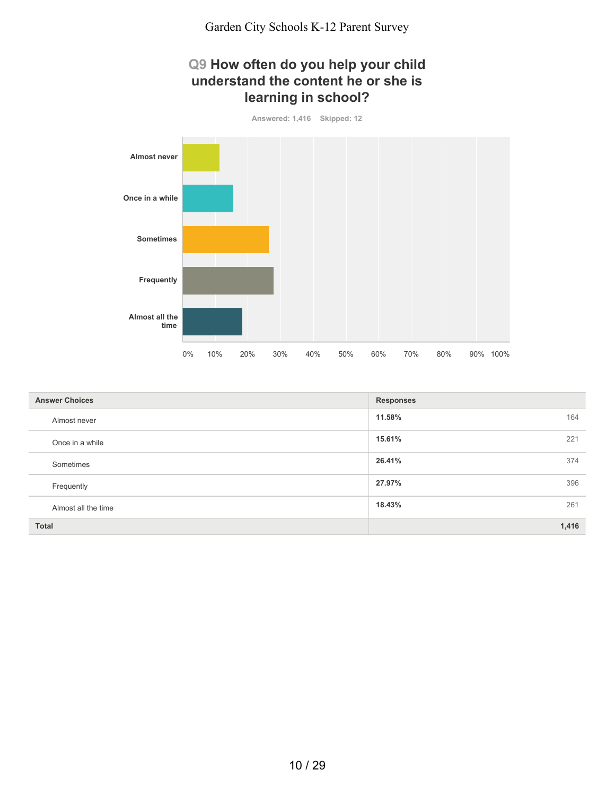## **Q9 How often do you help your child understand the content he or she is learning in school?**



| <b>Answer Choices</b> | <b>Responses</b> |
|-----------------------|------------------|
| Almost never          | 11.58%<br>164    |
| Once in a while       | 15.61%<br>221    |
| Sometimes             | 26.41%<br>374    |
| Frequently            | 27.97%<br>396    |
| Almost all the time   | 18.43%<br>261    |
| <b>Total</b>          | 1,416            |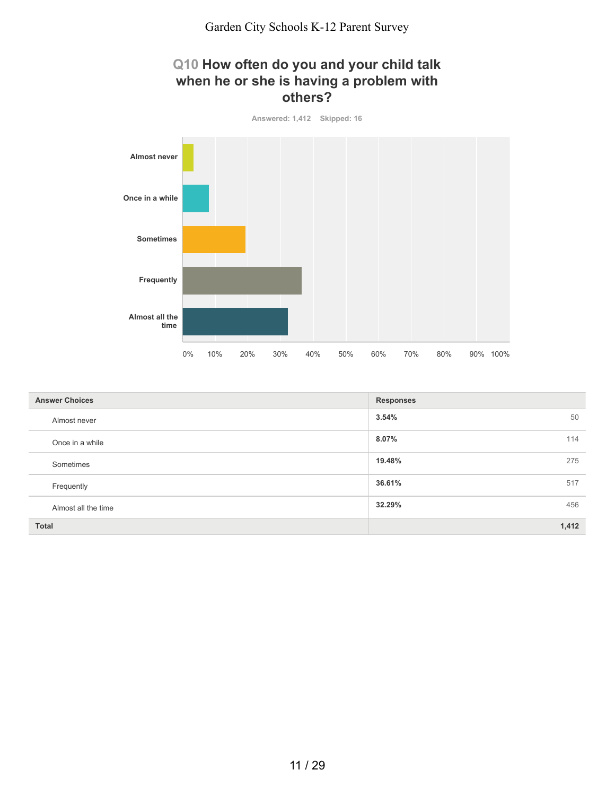## **Q10 How often do you and your child talk when he or she is having a problem with others?**



| <b>Answer Choices</b> | <b>Responses</b> |
|-----------------------|------------------|
| Almost never          | 3.54%<br>50      |
| Once in a while       | 114<br>8.07%     |
| Sometimes             | 19.48%<br>275    |
| Frequently            | 36.61%<br>517    |
| Almost all the time   | 32.29%<br>456    |
| <b>Total</b>          | 1,412            |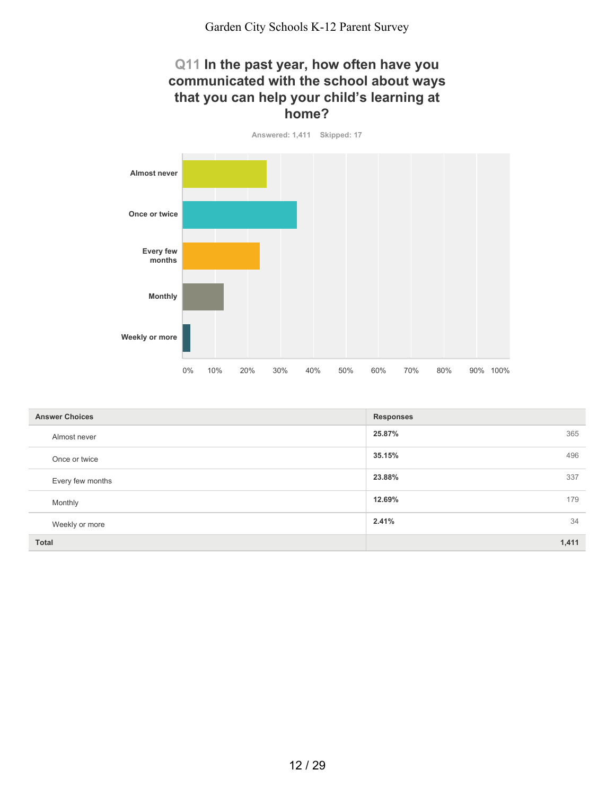### **Q11 In the past year, how often have you communicated with the school about ways that you can help your child's learning at home?**

**Answered: 1,411 Skipped: 17 Almost never Once or twice Every few months Monthly Weekly or more** 0% 10% 20% 30% 40% 50% 60% 70% 80% 90% 100%

| <b>Answer Choices</b> | <b>Responses</b> |
|-----------------------|------------------|
| Almost never          | 365<br>25.87%    |
| Once or twice         | 496<br>35.15%    |
| Every few months      | 23.88%<br>337    |
| Monthly               | 179<br>12.69%    |
| Weekly or more        | 34<br>2.41%      |
| <b>Total</b>          | 1,411            |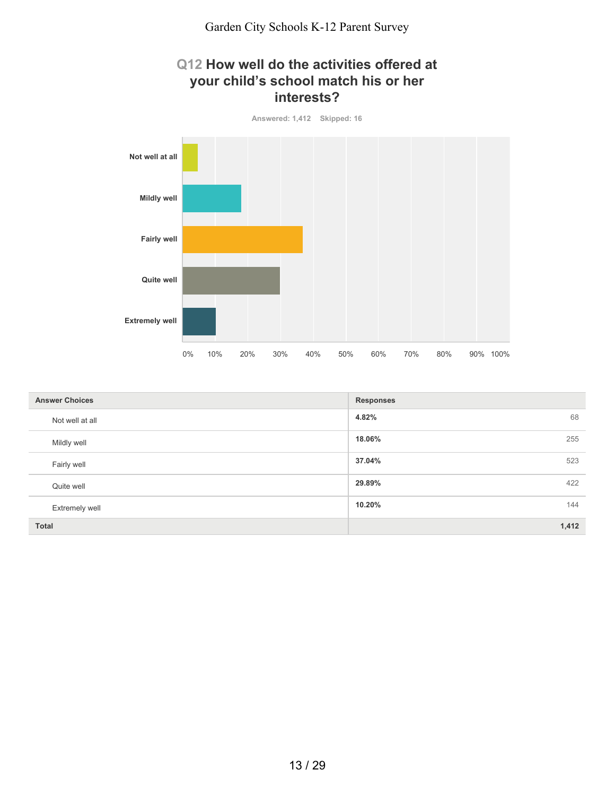



| <b>Answer Choices</b> | <b>Responses</b> |
|-----------------------|------------------|
| Not well at all       | 68<br>4.82%      |
| Mildly well           | 18.06%<br>255    |
| Fairly well           | 37.04%<br>523    |
| Quite well            | 29.89%<br>422    |
| <b>Extremely well</b> | 144<br>10.20%    |
| Total                 | 1,412            |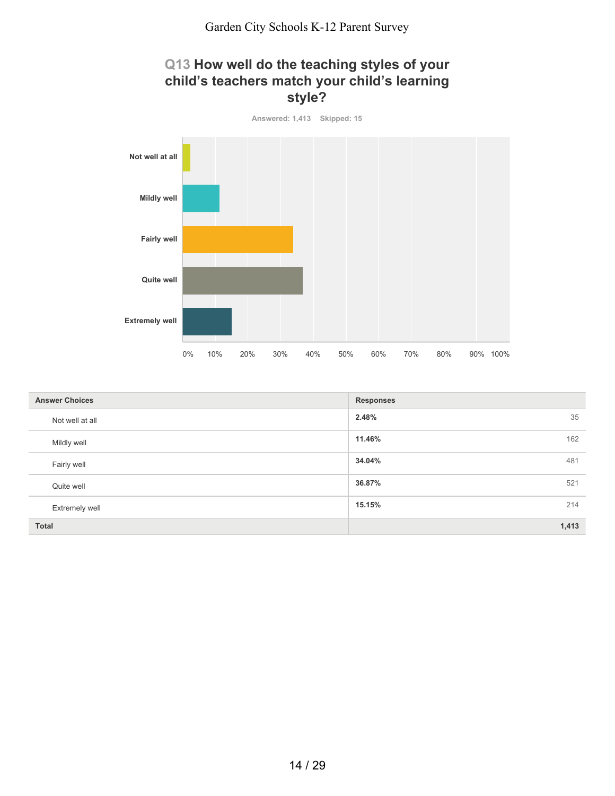



| <b>Answer Choices</b> | <b>Responses</b> |
|-----------------------|------------------|
| Not well at all       | 35<br>2.48%      |
| Mildly well           | 11.46%<br>162    |
| Fairly well           | 34.04%<br>481    |
| Quite well            | 36.87%<br>521    |
| <b>Extremely well</b> | 15.15%<br>214    |
| <b>Total</b>          | 1,413            |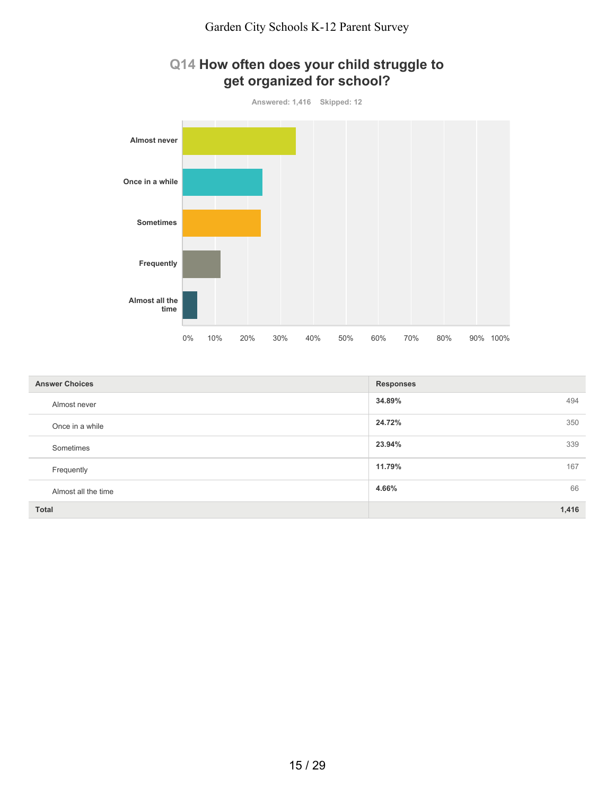



| <b>Answer Choices</b> | <b>Responses</b> |
|-----------------------|------------------|
| Almost never          | 34.89%<br>494    |
| Once in a while       | 24.72%<br>350    |
| Sometimes             | 23.94%<br>339    |
| Frequently            | 167<br>11.79%    |
| Almost all the time   | 66<br>4.66%      |
| <b>Total</b>          | 1,416            |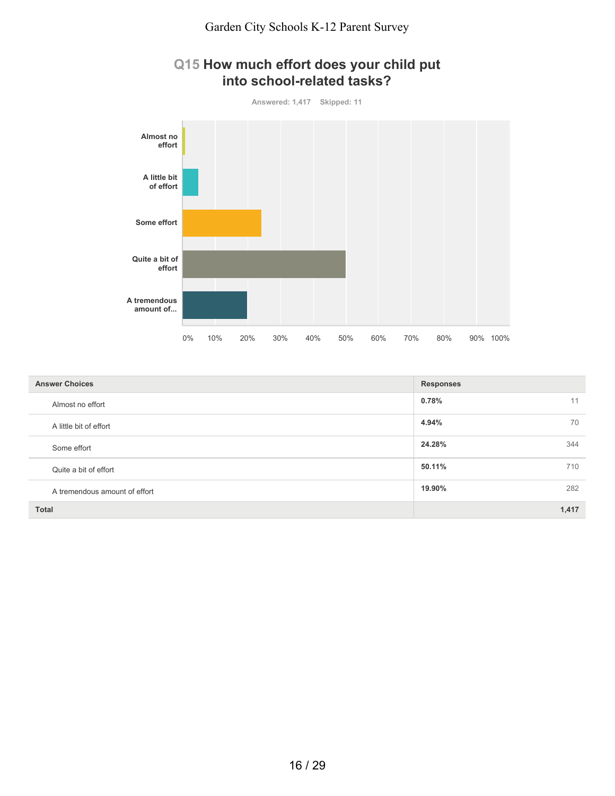

| Q15 How much effort does your child put |
|-----------------------------------------|
| into school-related tasks?              |

| <b>Answer Choices</b>         | <b>Responses</b> |
|-------------------------------|------------------|
| Almost no effort              | $0.78\%$<br>11   |
| A little bit of effort        | 4.94%<br>70      |
| Some effort                   | 24.28%<br>344    |
| Quite a bit of effort         | 50.11%<br>710    |
| A tremendous amount of effort | 19.90%<br>282    |
| <b>Total</b>                  | 1,417            |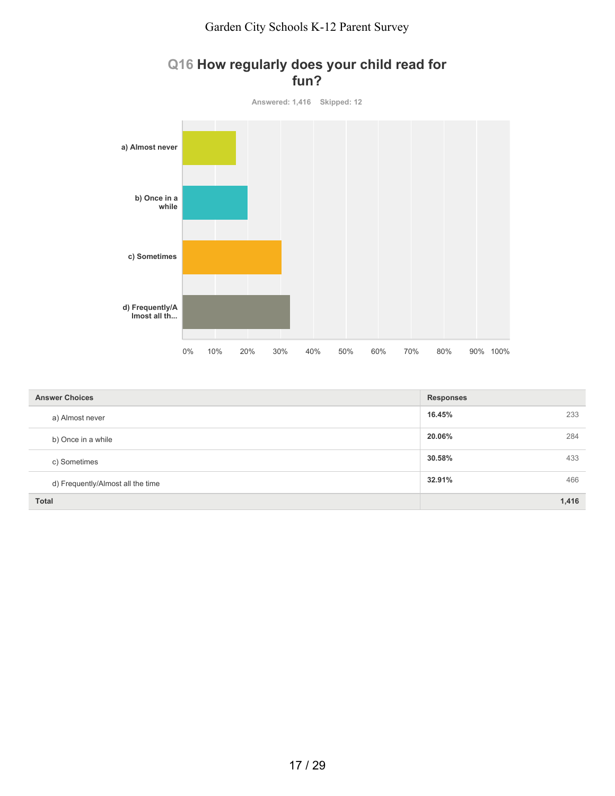#### Garden City Schools K-12 Parent Survey



### **Q16 How regularly does your child read for fun?**

| <b>Answer Choices</b>             | <b>Responses</b> |     |
|-----------------------------------|------------------|-----|
| a) Almost never                   | 16.45%           | 233 |
| b) Once in a while                | 20.06%           | 284 |
| c) Sometimes                      | 30.58%           | 433 |
| d) Frequently/Almost all the time | 32.91%           | 466 |
| <b>Total</b>                      | 1,416            |     |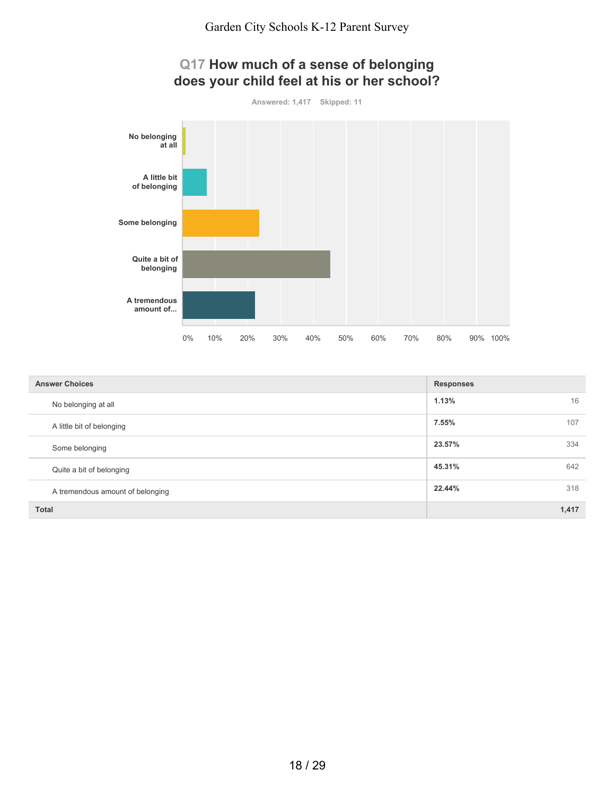

| <b>Answer Choices</b>            | <b>Responses</b> |
|----------------------------------|------------------|
| No belonging at all              | 1.13%<br>16      |
| A little bit of belonging        | 7.55%<br>107     |
| Some belonging                   | 23.57%<br>334    |
| Quite a bit of belonging         | 45.31%<br>642    |
| A tremendous amount of belonging | 22.44%<br>318    |
| <b>Total</b>                     | 1,417            |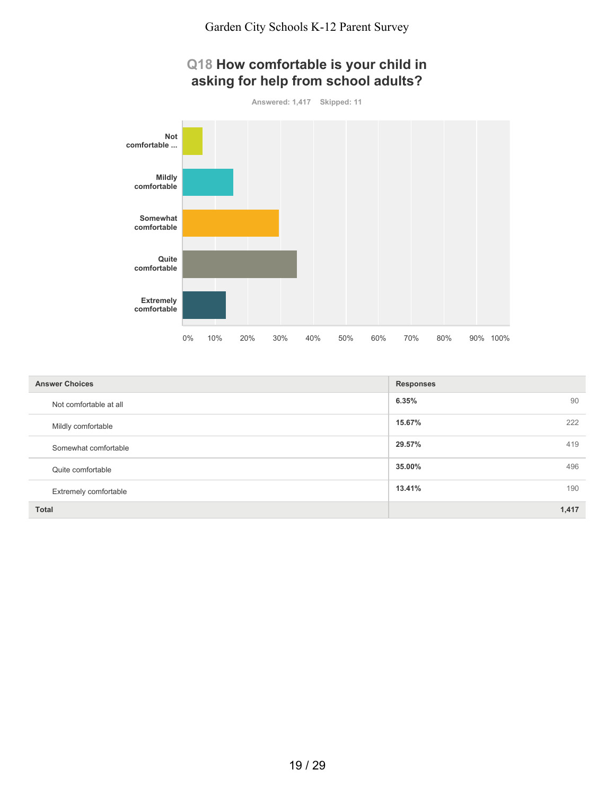## **Q18 How comfortable is your child in asking for help from school adults?**

**Answered: 1,417 Skipped: 11**



| <b>Answer Choices</b>  | <b>Responses</b> |
|------------------------|------------------|
| Not comfortable at all | 90<br>6.35%      |
| Mildly comfortable     | 15.67%<br>222    |
| Somewhat comfortable   | 419<br>29.57%    |
| Quite comfortable      | 496<br>35.00%    |
| Extremely comfortable  | 13.41%<br>190    |
| <b>Total</b>           | 1,417            |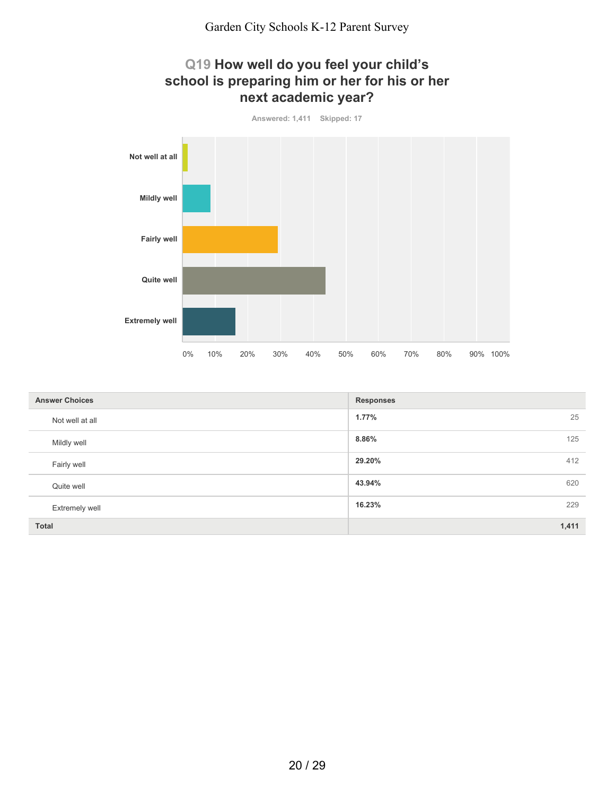

| <b>Answer Choices</b> | <b>Responses</b> |
|-----------------------|------------------|
| Not well at all       | 25<br>1.77%      |
| Mildly well           | 8.86%<br>125     |
| Fairly well           | 29.20%<br>412    |
| Quite well            | 43.94%<br>620    |
| <b>Extremely well</b> | 16.23%<br>229    |
| <b>Total</b>          | 1,411            |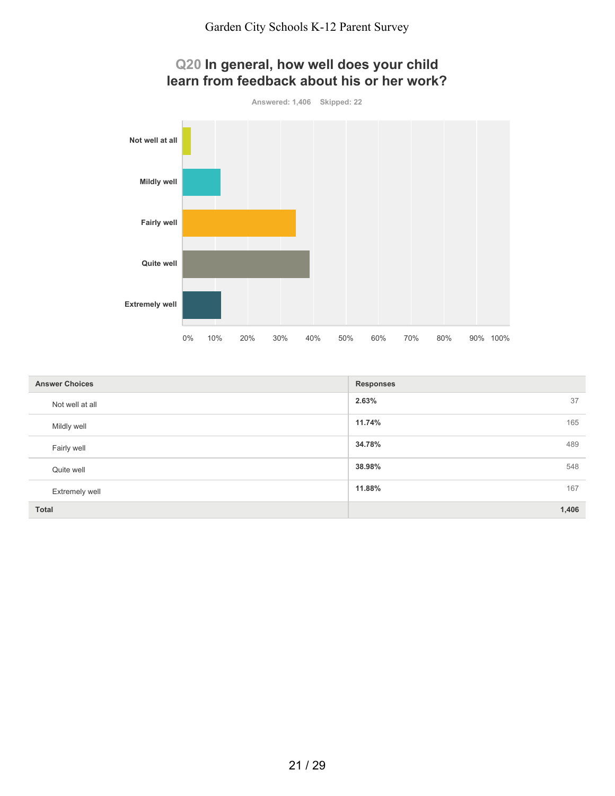

| <b>Answer Choices</b> | <b>Responses</b> |
|-----------------------|------------------|
| Not well at all       | 2.63%<br>37      |
| Mildly well           | 11.74%<br>165    |
| Fairly well           | 489<br>34.78%    |
| Quite well            | 548<br>38.98%    |
| <b>Extremely well</b> | 167<br>11.88%    |
| <b>Total</b>          | 1,406            |

#### 21 / 29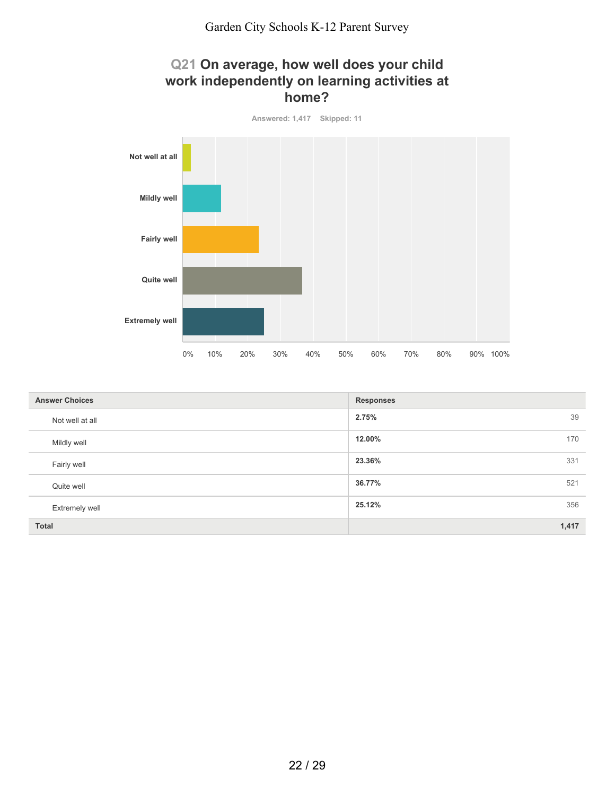



| <b>Answer Choices</b> | <b>Responses</b> |
|-----------------------|------------------|
| Not well at all       | 2.75%<br>39      |
| Mildly well           | 12.00%<br>170    |
| Fairly well           | 23.36%<br>331    |
| Quite well            | 36.77%<br>521    |
| <b>Extremely well</b> | 25.12%<br>356    |
| <b>Total</b>          | 1,417            |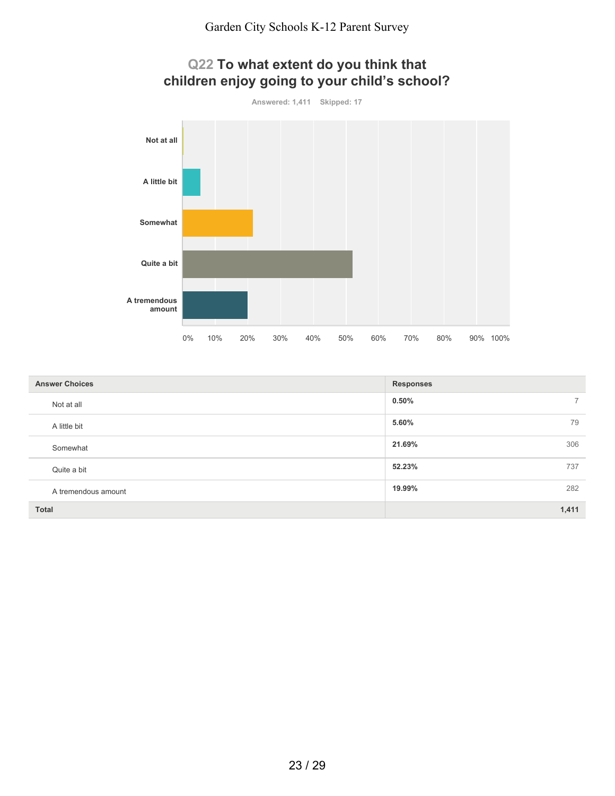

| <b>Answer Choices</b> | <b>Responses</b>           |
|-----------------------|----------------------------|
| Not at all            | $0.50\%$<br>$\overline{7}$ |
| A little bit          | 79<br>5.60%                |
| Somewhat              | 306<br>21.69%              |
| Quite a bit           | 52.23%<br>737              |
| A tremendous amount   | 282<br>19.99%              |
| <b>Total</b>          | 1,411                      |

#### 23 / 29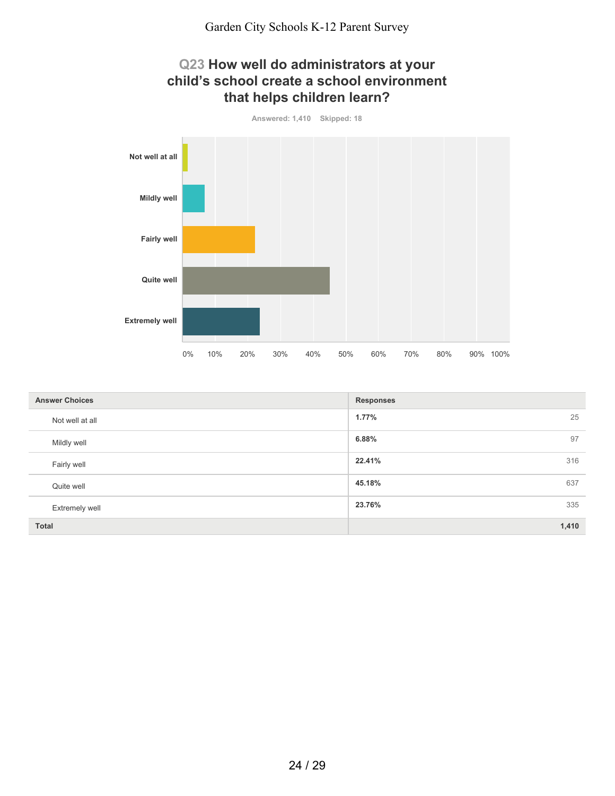

| <b>Answer Choices</b> | <b>Responses</b> |
|-----------------------|------------------|
| Not well at all       | 25<br>1.77%      |
| Mildly well           | 97<br>6.88%      |
| Fairly well           | 22.41%<br>316    |
| Quite well            | 45.18%<br>637    |
| <b>Extremely well</b> | 335<br>23.76%    |
| Total                 | 1,410            |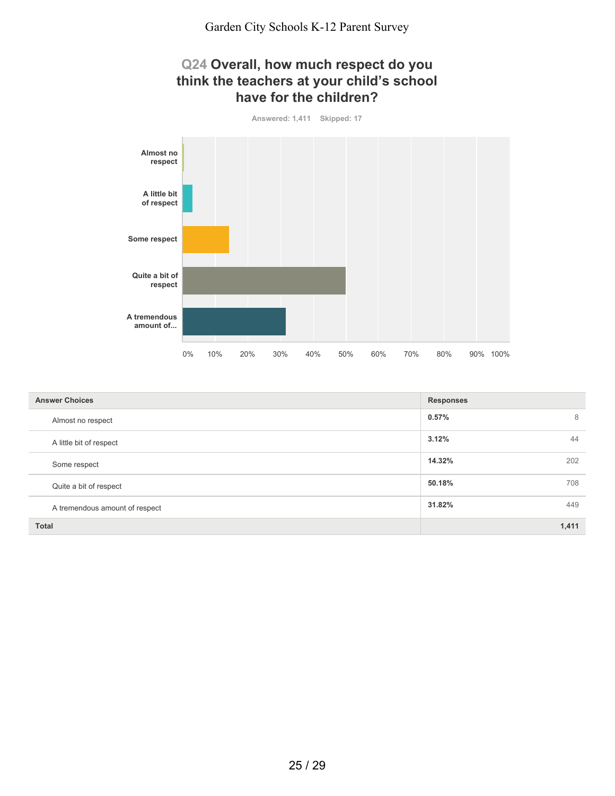## **Q24 Overall, how much respect do you think the teachers at your child's school have for the children?**



| <b>Answer Choices</b>          | <b>Responses</b> |
|--------------------------------|------------------|
| Almost no respect              | 0.57%<br>8       |
| A little bit of respect        | 3.12%<br>44      |
| Some respect                   | 14.32%<br>202    |
| Quite a bit of respect         | 50.18%<br>708    |
| A tremendous amount of respect | 31.82%<br>449    |
| <b>Total</b>                   | 1,411            |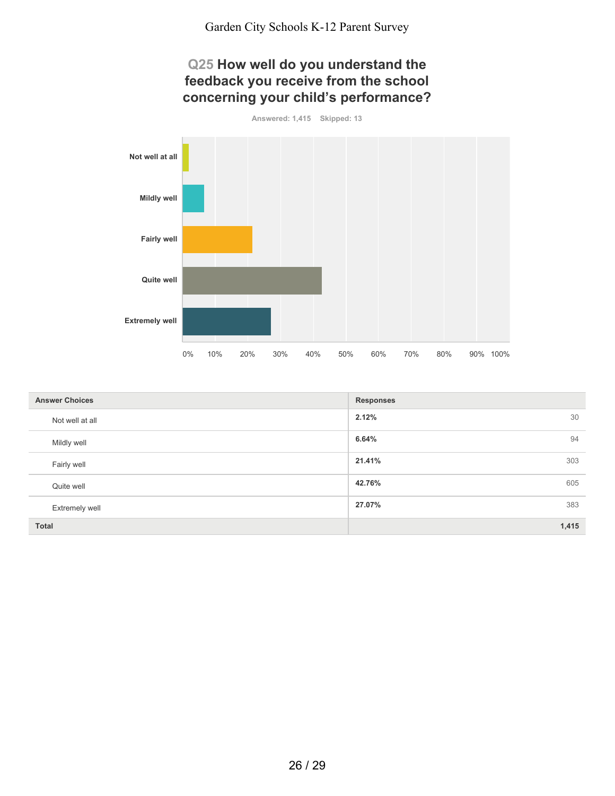## **Q25 How well do you understand the feedback you receive from the school concerning your child's performance?**

**Answered: 1,415 Skipped: 13**



| <b>Answer Choices</b> | <b>Responses</b> |
|-----------------------|------------------|
| Not well at all       | 2.12%<br>30      |
| Mildly well           | 94<br>6.64%      |
| Fairly well           | 21.41%<br>303    |
| Quite well            | 42.76%<br>605    |
| <b>Extremely well</b> | 27.07%<br>383    |
| <b>Total</b>          | 1,415            |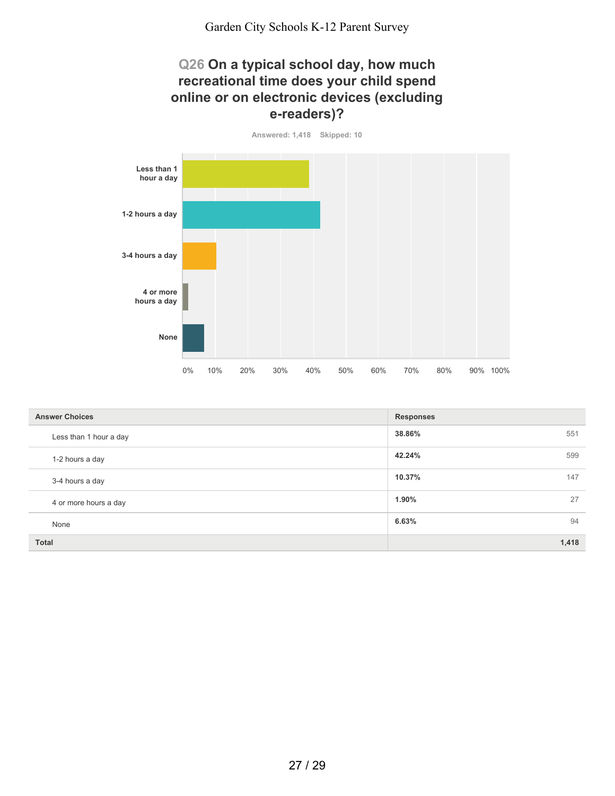### **Q26 On a typical school day, how much recreational time does your child spend online or on electronic devices (excluding e-readers)?**



| <b>Answer Choices</b>  | <b>Responses</b> |
|------------------------|------------------|
| Less than 1 hour a day | 38.86%<br>551    |
| 1-2 hours a day        | 42.24%<br>599    |
| 3-4 hours a day        | 10.37%<br>147    |
| 4 or more hours a day  | 27<br>1.90%      |
| None                   | 94<br>6.63%      |
| <b>Total</b>           | 1,418            |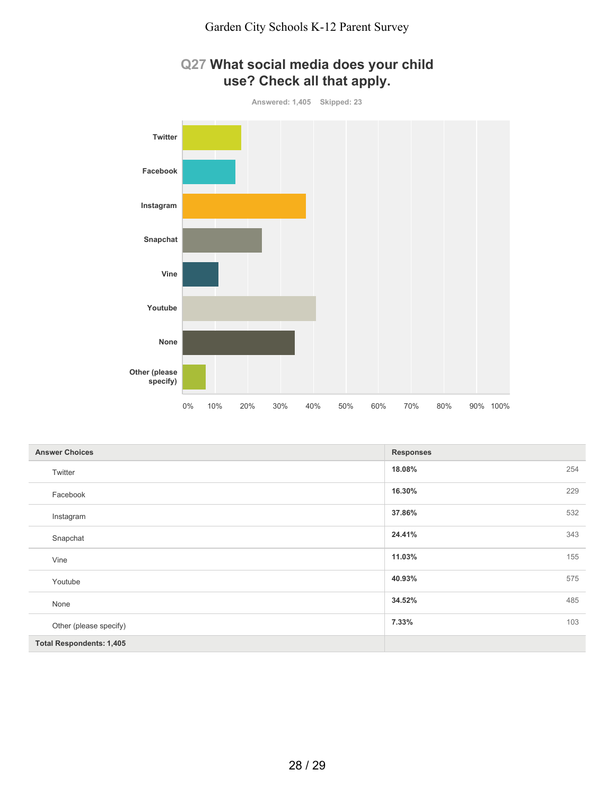

## **Q27 What social media does your child use? Check all that apply.**

| <b>Answer Choices</b>           | <b>Responses</b> |     |
|---------------------------------|------------------|-----|
| Twitter                         | 18.08%           | 254 |
| Facebook                        | 16.30%           | 229 |
| Instagram                       | 37.86%           | 532 |
| Snapchat                        | 24.41%           | 343 |
| Vine                            | 11.03%           | 155 |
| Youtube                         | 40.93%           | 575 |
| None                            | 34.52%           | 485 |
| Other (please specify)          | 7.33%            | 103 |
| <b>Total Respondents: 1,405</b> |                  |     |